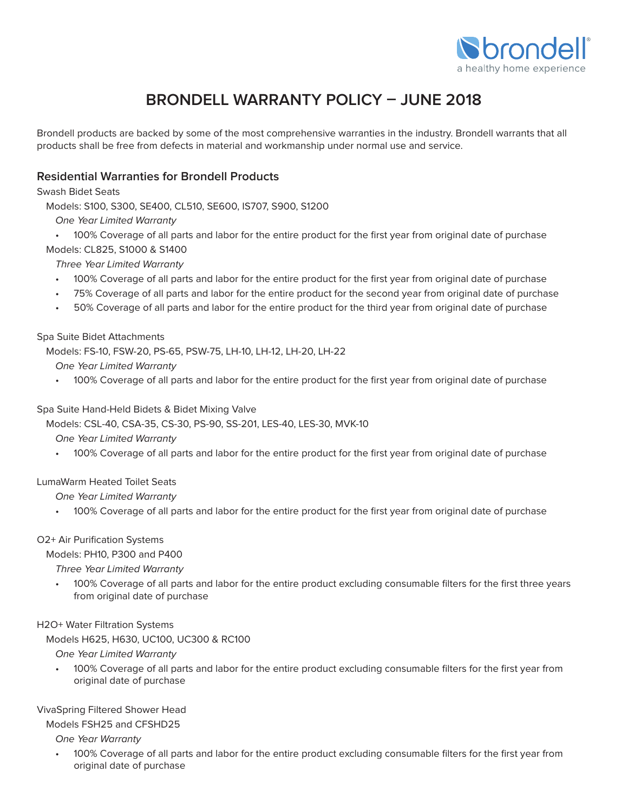

# **BRONDELL WARRANTY POLICY – JUNE 2018**

Brondell products are backed by some of the most comprehensive warranties in the industry. Brondell warrants that all products shall be free from defects in material and workmanship under normal use and service.

## **Residential Warranties for Brondell Products**

Swash Bidet Seats

Models: S100, S300, SE400, CL510, SE600, IS707, S900, S1200

One Year Limited Warranty

• 100% Coverage of all parts and labor for the entire product for the first year from original date of purchase

# Models: CL825, S1000 & S1400

Three Year Limited Warranty

- 100% Coverage of all parts and labor for the entire product for the first year from original date of purchase
- 75% Coverage of all parts and labor for the entire product for the second year from original date of purchase
- 50% Coverage of all parts and labor for the entire product for the third year from original date of purchase

#### Spa Suite Bidet Attachments

Models: FS-10, FSW-20, PS-65, PSW-75, LH-10, LH-12, LH-20, LH-22

One Year Limited Warranty

• 100% Coverage of all parts and labor for the entire product for the first year from original date of purchase

#### Spa Suite Hand-Held Bidets & Bidet Mixing Valve

Models: CSL-40, CSA-35, CS-30, PS-90, SS-201, LES-40, LES-30, MVK-10

One Year Limited Warranty

• 100% Coverage of all parts and labor for the entire product for the first year from original date of purchase

## LumaWarm Heated Toilet Seats

One Year Limited Warranty

• 100% Coverage of all parts and labor for the entire product for the first year from original date of purchase

## O2+ Air Purification Systems

Models: PH10, P300 and P400

Three Year Limited Warranty

• 100% Coverage of all parts and labor for the entire product excluding consumable filters for the first three years from original date of purchase

## H2O+ Water Filtration Systems

Models H625, H630, UC100, UC300 & RC100

One Year Limited Warranty

• 100% Coverage of all parts and labor for the entire product excluding consumable filters for the first year from original date of purchase

## VivaSpring Filtered Shower Head

Models FSH25 and CFSHD25

One Year Warranty

• 100% Coverage of all parts and labor for the entire product excluding consumable filters for the first year from original date of purchase